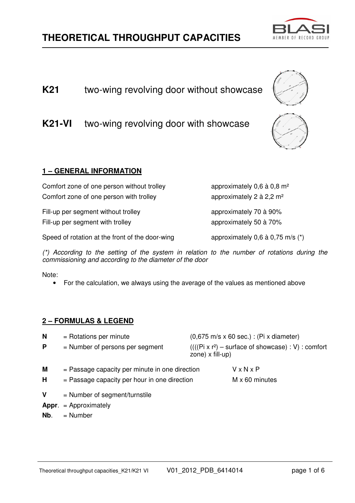# **THEORETICAL THROUGHPUT CAPACITIES**

**K21-VI** two-wing revolving door with showcase

**1 – GENERAL INFORMATION**

Comfort zone of one person without trolley approximately 0,6 à 0,8 m<sup>2</sup> Comfort zone of one person with trolley  $\mu$  approximately 2 à 2,2 m<sup>2</sup>

Fill-up per segment without trolley approximately 70 à 90% Fill-up per segment with trolley approximately 50 à 70%

Speed of rotation at the front of the door-wing  $\qquad \qquad \text{approximating } 0,6 \text{ a } 0.75 \text{ m/s } (*)$ 

 $(*)$  According to the setting of the system in relation to the number of rotations during the commissioning and according to the diameter of the door

Note:

• For the calculation, we always using the average of the values as mentioned above

#### **2 – FORMULAS & LEGEND**

| N                 | $=$ Rotations per minute                                                                           |                                                                          | $(0,675 \text{ m/s} \times 60 \text{ sec.})$ : (Pi x diameter) |  |
|-------------------|----------------------------------------------------------------------------------------------------|--------------------------------------------------------------------------|----------------------------------------------------------------|--|
| P                 | $=$ Number of persons per segment                                                                  | $(((Pi x r2) - surface of show case) : V) : comfort$<br>zone) x fill-up) |                                                                |  |
| M<br>н            | $=$ Passage capacity per minute in one direction<br>$=$ Passage capacity per hour in one direction |                                                                          | $V \times N \times P$<br>$M \times 60$ minutes                 |  |
| V<br>Appr.<br>Nb. | $=$ Number of segment/turnstile<br>$=$ Approximately<br>$=$ Number                                 |                                                                          |                                                                |  |





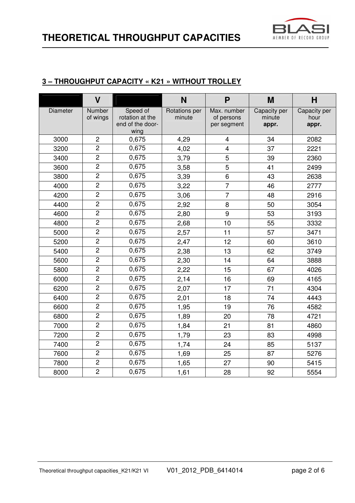

#### **3 – THROUGHPUT CAPACITY « K21 » WITHOUT TROLLEY**

|          | $\mathbf v$        |                                                         | N                       | P                                        | M                               | н                             |
|----------|--------------------|---------------------------------------------------------|-------------------------|------------------------------------------|---------------------------------|-------------------------------|
| Diameter | Number<br>of wings | Speed of<br>rotation at the<br>end of the door-<br>wing | Rotations per<br>minute | Max. number<br>of persons<br>per segment | Capacity per<br>minute<br>appr. | Capacity per<br>hour<br>appr. |
| 3000     | $\overline{c}$     | 0,675                                                   | 4,29                    | 4                                        | 34                              | 2082                          |
| 3200     | $\overline{2}$     | 0,675                                                   | 4,02                    | $\overline{4}$                           | 37                              | 2221                          |
| 3400     | $\overline{2}$     | 0,675                                                   | 3,79                    | 5                                        | 39                              | 2360                          |
| 3600     | $\overline{2}$     | 0,675                                                   | 3,58                    | 5                                        | 41                              | 2499                          |
| 3800     | $\overline{2}$     | 0,675                                                   | 3,39                    | 6                                        | 43                              | 2638                          |
| 4000     | $\overline{c}$     | 0,675                                                   | 3,22                    | $\overline{7}$                           | 46                              | 2777                          |
| 4200     | $\overline{c}$     | 0,675                                                   | 3,06                    | $\overline{7}$                           | 48                              | 2916                          |
| 4400     | $\overline{2}$     | 0,675                                                   | 2,92                    | 8                                        | 50                              | 3054                          |
| 4600     | $\overline{2}$     | 0,675                                                   | 2,80                    | 9                                        | 53                              | 3193                          |
| 4800     | $\overline{2}$     | 0,675                                                   | 2,68                    | 10                                       | 55                              | 3332                          |
| 5000     | $\overline{2}$     | 0,675                                                   | 2,57                    | 11                                       | 57                              | 3471                          |
| 5200     | $\overline{2}$     | 0,675                                                   | 2,47                    | 12                                       | 60                              | 3610                          |
| 5400     | $\overline{2}$     | 0,675                                                   | 2,38                    | 13                                       | 62                              | 3749                          |
| 5600     | $\overline{2}$     | 0,675                                                   | 2,30                    | 14                                       | 64                              | 3888                          |
| 5800     | $\overline{2}$     | 0,675                                                   | 2,22                    | 15                                       | 67                              | 4026                          |
| 6000     | $\overline{c}$     | 0,675                                                   | 2,14                    | 16                                       | 69                              | 4165                          |
| 6200     | $\overline{2}$     | 0,675                                                   | 2,07                    | 17                                       | 71                              | 4304                          |
| 6400     | $\overline{2}$     | 0,675                                                   | 2,01                    | 18                                       | 74                              | 4443                          |
| 6600     | $\overline{c}$     | 0,675                                                   | 1,95                    | 19                                       | 76                              | 4582                          |
| 6800     | $\overline{2}$     | 0,675                                                   | 1,89                    | 20                                       | 78                              | 4721                          |
| 7000     | $\overline{2}$     | 0,675                                                   | 1,84                    | 21                                       | 81                              | 4860                          |
| 7200     | $\overline{2}$     | 0,675                                                   | 1,79                    | 23                                       | 83                              | 4998                          |
| 7400     | $\overline{2}$     | 0,675                                                   | 1,74                    | 24                                       | 85                              | 5137                          |
| 7600     | $\overline{2}$     | 0,675                                                   | 1,69                    | 25                                       | 87                              | 5276                          |
| 7800     | $\overline{c}$     | 0,675                                                   | 1,65                    | 27                                       | 90                              | 5415                          |
| 8000     | $\overline{2}$     | 0,675                                                   | 1,61                    | 28                                       | 92                              | 5554                          |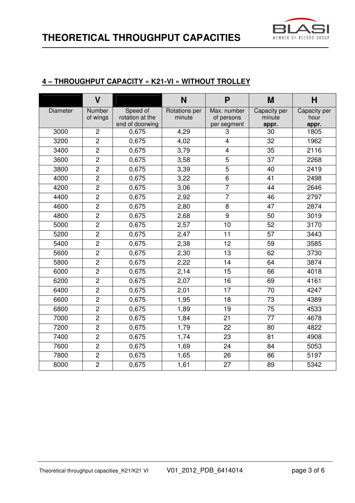

#### **4 – THROUGHPUT CAPACITY « K21-VI » WITHOUT TROLLEY**

|                 | $\overline{\mathsf{V}}$ |                                                | N                       | P                                        | M                               | H                             |
|-----------------|-------------------------|------------------------------------------------|-------------------------|------------------------------------------|---------------------------------|-------------------------------|
| <b>Diameter</b> | Number<br>of wings      | Speed of<br>rotation at the<br>end of doorwing | Rotations per<br>minute | Max. number<br>of persons<br>per segment | Capacity per<br>minute<br>appr. | Capacity per<br>hour<br>appr. |
| 3000            | $\overline{2}$          | 0,675                                          | 4,29                    | 3                                        | 30                              | 1805                          |
| 3200            | $\overline{2}$          | 0,675                                          | 4,02                    | $\overline{4}$                           | 32                              | 1962                          |
| 3400            | $\overline{c}$          | 0,675                                          | 3,79                    | 4                                        | 35                              | 2116                          |
| 3600            | $\overline{2}$          | 0,675                                          | 3,58                    | $\overline{5}$                           | 37                              | 2268                          |
| 3800            | $\overline{2}$          | 0,675                                          | 3,39                    | 5                                        | 40                              | 2419                          |
| 4000            | $\overline{2}$          | 0,675                                          | 3,22                    | 6                                        | 41                              | 2498                          |
| 4200            | $\overline{2}$          | 0,675                                          | 3,06                    | $\overline{7}$                           | 44                              | 2646                          |
| 4400            | $\overline{2}$          | 0,675                                          | 2,92                    | $\overline{7}$                           | 46                              | 2797                          |
| 4600            | $\overline{2}$          | 0,675                                          | 2,80                    | 8                                        | 47                              | 2874                          |
| 4800            | $\overline{2}$          | 0,675                                          | 2,68                    | $\overline{9}$                           | 50                              | 3019                          |
| 5000            | $\overline{2}$          | 0,675                                          | 2,57                    | 10                                       | 52                              | 3170                          |
| 5200            | $\overline{c}$          | 0,675                                          | 2,47                    | 11                                       | 57                              | 3443                          |
| 5400            | $\overline{2}$          | 0,675                                          | 2,38                    | 12                                       | 59                              | 3585                          |
| 5600            | $\overline{2}$          | 0,675                                          | 2,30                    | 13                                       | 62                              | 3730                          |
| 5800            | $\overline{2}$          | 0,675                                          | 2,22                    | 14                                       | 64                              | 3874                          |
| 6000            | $\overline{c}$          | 0,675                                          | 2,14                    | 15                                       | 66                              | 4018                          |
| 6200            | $\overline{2}$          | 0,675                                          | 2,07                    | 16                                       | 69                              | 4161                          |
| 6400            | $\overline{2}$          | 0,675                                          | 2,01                    | 17                                       | 70                              | 4247                          |
| 6600            | $\overline{2}$          | 0,675                                          | 1,95                    | 18                                       | 73                              | 4389                          |
| 6800            | $\overline{2}$          | 0,675                                          | 1,89                    | 19                                       | 75                              | 4533                          |
| 7000            | $\overline{2}$          | 0,675                                          | 1,84                    | 21                                       | 77                              | 4678                          |
| 7200            | $\overline{2}$          | 0,675                                          | 1,79                    | 22                                       | 80                              | 4822                          |
| 7400            | $\overline{2}$          | 0,675                                          | 1,74                    | $\overline{23}$                          | $\overline{81}$                 | 4908                          |
| 7600            | $\overline{c}$          | 0,675                                          | 1,69                    | 24                                       | 84                              | 5053                          |
| 7800            | $\overline{2}$          | 0,675                                          | 1,65                    | 26                                       | 86                              | 5197                          |
| 8000            | $\overline{2}$          | 0,675                                          | 1,61                    | 27                                       | 89                              | 5342                          |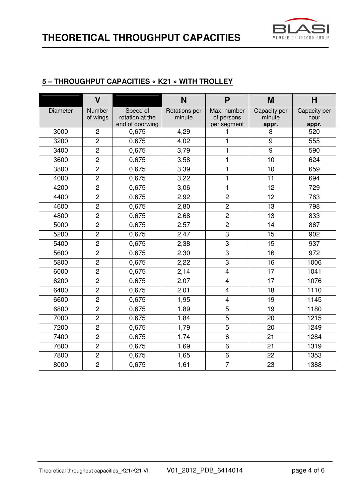

#### **5 – THROUGHPUT CAPACITIES « K21 » WITH TROLLEY**

|                 | $\overline{\mathsf{V}}$ |                                                | N                       | P                                        | M                               | H                             |
|-----------------|-------------------------|------------------------------------------------|-------------------------|------------------------------------------|---------------------------------|-------------------------------|
| <b>Diameter</b> | Number<br>of wings      | Speed of<br>rotation at the<br>end of doorwing | Rotations per<br>minute | Max. number<br>of persons<br>per segment | Capacity per<br>minute<br>appr. | Capacity per<br>hour<br>appr. |
| 3000            | $\overline{2}$          | 0,675                                          | 4,29                    | 1                                        | 8                               | 520                           |
| 3200            | $\overline{2}$          | 0,675                                          | 4,02                    | 1                                        | 9                               | 555                           |
| 3400            | $\overline{c}$          | 0,675                                          | 3,79                    | 1                                        | $\boldsymbol{9}$                | 590                           |
| 3600            | $\overline{2}$          | 0,675                                          | 3,58                    | 1                                        | 10                              | 624                           |
| 3800            | $\overline{2}$          | 0,675                                          | 3,39                    | 1                                        | 10                              | 659                           |
| 4000            | $\overline{2}$          | 0,675                                          | 3,22                    | 1                                        | 11                              | 694                           |
| 4200            | $\overline{c}$          | 0,675                                          | 3,06                    | $\mathbf{1}$                             | 12                              | 729                           |
| 4400            | $\overline{2}$          | 0,675                                          | 2,92                    | $\overline{c}$                           | 12                              | 763                           |
| 4600            | $\overline{2}$          | 0,675                                          | 2,80                    | $\overline{2}$                           | 13                              | 798                           |
| 4800            | $\overline{2}$          | 0,675                                          | 2,68                    | $\overline{2}$                           | $\overline{13}$                 | 833                           |
| 5000            | $\overline{2}$          | 0,675                                          | 2,57                    | $\overline{2}$                           | 14                              | 867                           |
| 5200            | $\overline{c}$          | 0,675                                          | 2,47                    | 3                                        | 15                              | 902                           |
| 5400            | $\overline{2}$          | 0,675                                          | 2,38                    | $\overline{3}$                           | 15                              | 937                           |
| 5600            | $\overline{2}$          | 0,675                                          | 2,30                    | 3                                        | 16                              | 972                           |
| 5800            | $\overline{2}$          | 0,675                                          | 2,22                    | $\overline{3}$                           | 16                              | 1006                          |
| 6000            | $\overline{c}$          | 0,675                                          | 2,14                    | $\overline{\mathbf{4}}$                  | 17                              | 1041                          |
| 6200            | $\overline{2}$          | 0,675                                          | $\overline{2,07}$       | $\overline{4}$                           | $\overline{17}$                 | 1076                          |
| 6400            | $\overline{2}$          | 0,675                                          | 2,01                    | $\overline{4}$                           | 18                              | 1110                          |
| 6600            | $\overline{2}$          | 0,675                                          | 1,95                    | 4                                        | 19                              | 1145                          |
| 6800            | $\overline{2}$          | 0,675                                          | 1,89                    | $\overline{5}$                           | 19                              | 1180                          |
| 7000            | $\overline{2}$          | 0,675                                          | 1,84                    | $\overline{5}$                           | 20                              | 1215                          |
| 7200            | $\overline{2}$          | 0,675                                          | 1,79                    | $\overline{5}$                           | 20                              | 1249                          |
| 7400            | $\overline{2}$          | 0,675                                          | 1,74                    | $\overline{6}$                           | $\overline{21}$                 | 1284                          |
| 7600            | $\overline{c}$          | 0,675                                          | 1,69                    | 6                                        | 21                              | 1319                          |
| 7800            | $\overline{2}$          | 0,675                                          | 1,65                    | 6                                        | 22                              | 1353                          |
| 8000            | $\overline{2}$          | 0,675                                          | 1,61                    | $\overline{7}$                           | 23                              | 1388                          |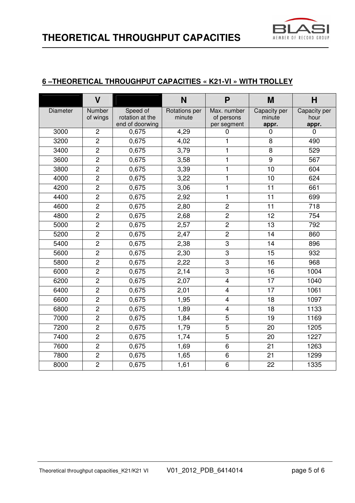

#### **6 –THEORETICAL THROUGHPUT CAPACITIES « K21-VI » WITH TROLLEY**

|          | $\overline{\mathsf{V}}$ |                                                | N                              | P                                        | M                               | H                             |
|----------|-------------------------|------------------------------------------------|--------------------------------|------------------------------------------|---------------------------------|-------------------------------|
| Diameter | Number<br>of wings      | Speed of<br>rotation at the<br>end of doorwing | <b>Rotations per</b><br>minute | Max. number<br>of persons<br>per segment | Capacity per<br>minute<br>appr. | Capacity per<br>hour<br>appr. |
| 3000     | $\overline{2}$          | 0,675                                          | 4,29                           | 0                                        | 0                               | $\Omega$                      |
| 3200     | $\overline{2}$          | 0,675                                          | 4,02                           | 1                                        | 8                               | 490                           |
| 3400     | $\overline{2}$          | 0,675                                          | 3,79                           | 1                                        | 8                               | 529                           |
| 3600     | $\overline{c}$          | 0,675                                          | 3,58                           | 1                                        | $9$                             | 567                           |
| 3800     | $\overline{2}$          | 0,675                                          | 3,39                           | 1                                        | 10                              | 604                           |
| 4000     | $\overline{2}$          | 0,675                                          | 3,22                           | 1                                        | 10                              | 624                           |
| 4200     | $\overline{2}$          | 0,675                                          | 3,06                           | $\mathbf{1}$                             | 11                              | 661                           |
| 4400     | $\overline{2}$          | 0,675                                          | 2,92                           | $\mathbf{1}$                             | 11                              | 699                           |
| 4600     | $\overline{2}$          | 0,675                                          | 2,80                           | $\overline{2}$                           | 11                              | 718                           |
| 4800     | $\overline{2}$          | 0,675                                          | 2,68                           | $\overline{2}$                           | 12                              | 754                           |
| 5000     | $\overline{c}$          | 0,675                                          | 2,57                           | $\overline{2}$                           | 13                              | 792                           |
| 5200     | $\overline{2}$          | 0,675                                          | 2,47                           | $\overline{2}$                           | 14                              | 860                           |
| 5400     | $\overline{2}$          | 0,675                                          | 2,38                           | $\overline{3}$                           | 14                              | 896                           |
| 5600     | $\overline{2}$          | 0,675                                          | 2,30                           | 3                                        | 15                              | 932                           |
| 5800     | $\overline{2}$          | 0,675                                          | 2,22                           | $\overline{3}$                           | $\overline{16}$                 | 968                           |
| 6000     | $\overline{c}$          | 0,675                                          | 2,14                           | $\overline{3}$                           | 16                              | 1004                          |
| 6200     | $\overline{c}$          | 0,675                                          | 2,07                           | $\overline{\mathbf{4}}$                  | 17                              | 1040                          |
| 6400     | $\overline{2}$          | 0,675                                          | 2,01                           | $\overline{4}$                           | 17                              | 1061                          |
| 6600     | $\overline{2}$          | 0,675                                          | 1,95                           | $\overline{\mathbf{4}}$                  | 18                              | 1097                          |
| 6800     | $\overline{c}$          | 0,675                                          | 1,89                           | $\overline{\mathbf{4}}$                  | 18                              | 1133                          |
| 7000     | $\overline{2}$          | 0,675                                          | 1,84                           | $\overline{5}$                           | 19                              | 1169                          |
| 7200     | $\overline{2}$          | 0,675                                          | 1,79                           | $\overline{5}$                           | 20                              | 1205                          |
| 7400     | $\overline{2}$          | 0,675                                          | 1,74                           | $\overline{5}$                           | 20                              | 1227                          |
| 7600     | $\overline{2}$          | 0,675                                          | 1,69                           | $\overline{6}$                           | 21                              | 1263                          |
| 7800     | $\overline{2}$          | 0,675                                          | 1,65                           | 6                                        | 21                              | 1299                          |
| 8000     | $\overline{2}$          | 0,675                                          | 1,61                           | $\overline{6}$                           | 22                              | 1335                          |